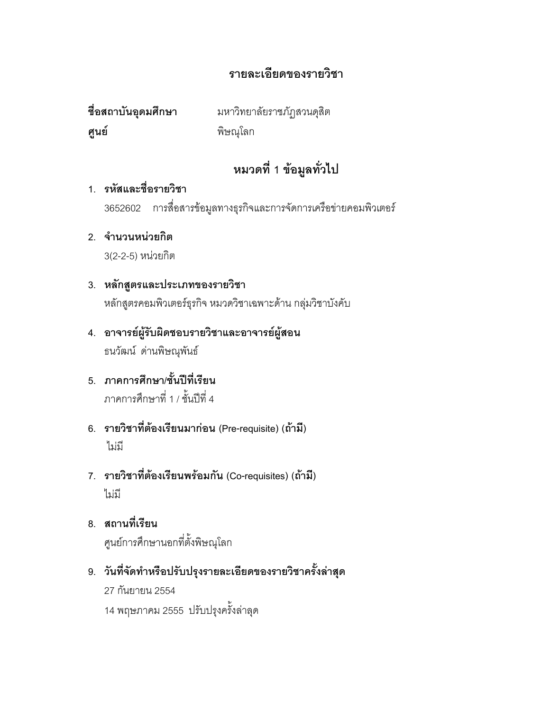# รายละเอียดของรายวิชา

ชื่อสถาบันอุดมศึกษา ศูนย์

มหาวิทยาลัยราชภัฏสวนดุสิต พิษณุโลก

# หมวดที่ 1 ข้อมูลทั่วไป

#### 1. รหัสและชื่อรายวิชา

3652602 การสื่อสารข้อมูลทางธุรกิจและการจัดการเครือข่ายคอมพิวเตอร์

- 2. จำนวนหน่วยกิต 3(2-2-5) หน่วยกิต
- 3. หลักสูตรและประเภทของรายวิชา หลักสูตรคอมพิวเตอร์ธุรกิจ หมวดวิชาเฉพาะด้าน กลุ่มวิชาบังคับ
- 4. อาจารย์ผู้รับผิดชอบรายวิชาและอาจารย์ผู้สอน ธนวัฒน์ ด่านพิษณุพันธ์
- 5 ภาคการศึกษา/ชั้นปีที่เรียน ภาคการศึกษาที่ 1 / ชั้นปีที่ 4
- 6. รายวิชาที่ต้องเรียนมาก่อน (Pre-requisite) (ถ้ามี) ไม่มี
- 7. รายวิชาที่ต้องเรียนพร้อมกัน (Co-requisites) (ถ้ามี) ไม่มี
- 8. สถานที่เรียน ศูนย์การศึกษานอกที่ตั้งพิษณุโลก
- 9. วันที่จัดทำหรือปรับปรุงรายละเอียดของรายวิชาครั้งล่าสุด 27 กันยายน 2554 14 พฤษภาคม 2555 ปรับปรุงครั้งล่าลุด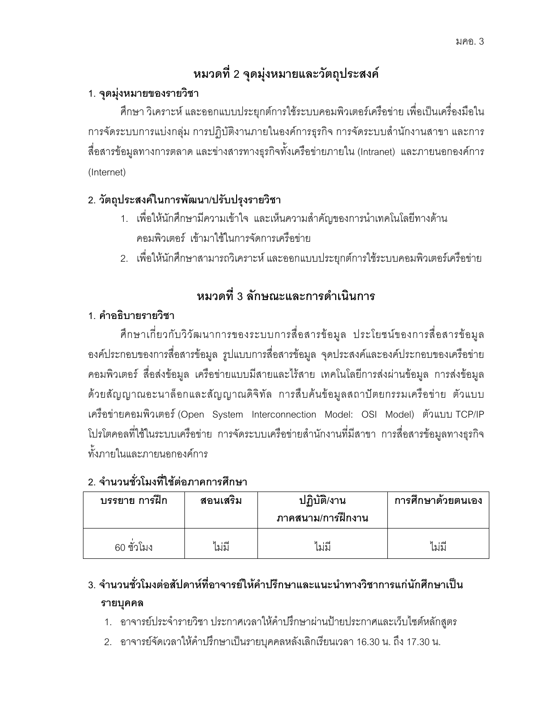# หมวดที่ 2 จุดมุ่งหมายและวัตถุประสงค์

## 1. จุดมุ่งหมายของรายวิชา

์ ศึกษา วิเคราะห์ และออกแบบประยุกต์การใช้ระบบคอมพิวเตอร์เครือข่าย เพื่อเป็นเครื่องมือใน การจัดระบบการแบ่งกลุ่ม การปฏิบัติงานภายในองค์การธุรกิจ การจัดระบบสำนักงานสาขา และการ สื่อสารข้อมูลทางการตลาด และข่างสารทางธุรกิจทั้งเครือข่ายภายใน (Intranet) และภายนอกองค์การ (Internet)

# 2. วัตถุประสงค์ในการพัฒนา/ปรับปรุงรายวิชา

- 1. เพื่อให้นักศึกษามีความเข้าใจ และเห็นความสำคัญของการนำเทคโนโลยีทางด้าน คอมพิวเตอร์ เข้ามาใช้ในการจัดการเครือข่าย
- 2. เพื่อให้นักศึกษาสามารถวิเคราะห์ และออกแบบประยุกต์การใช้ระบบคอมพิวเตอร์เครือข่าย

# หมวดที่ 3 ลักษณะและการดำเนินการ

## 1. คำอธิบายรายวิชา

ศึกษาเกี่ยวกับวิวัฒนาการของระบบการสื่อสารข้อมูล ประโยชน์ของการสื่อสารข้อมูล ้องค์ประกอบของการสื่อสารข้อมูล รูปแบบการสื่อสารข้อมูล จุดประสงค์และองค์ประกอบของเครือข่าย ้คอมพิวเตอร์ สื่อส่งข้อมูล เครือข่ายแบบมีสายและไร้สาย เทคโนโลยีการส่งผ่านข้อมูล การส่งข้อมูล ด้วยสัญญาณอะนาล็อกและสัญญาณดิจิทัล การสืบค้นข้อมูลสถาปัตยกรรมเครือข่าย ตัวแบบ เครือข่ายคอมพิวเตอร์ (Open System Interconnection Model: OSI Model) ตัวแบบ TCP/IP โปรโตคอลที่ใช้ในระบบเครือข่าย การจัดระบบเครือข่ายสำนักงานที่มีสาขา การสื่อสารข้อมูลทางธุรกิจ ทั้งภายในและภายนอกองค์การ

# 2 จำนวนชั่วโมงที่ใช้ต่อภาคการศึกษา

| บรรยาย การฝึก | สอนเสริม | ปฏิบัติ/งาน<br>ภาคสนาม/การฝึกงาน | การศึกษาด้วยตนเอง |
|---------------|----------|----------------------------------|-------------------|
| 60 ชั่วโมง    | ไม่มี    | ไม่มี                            | ไม่มี             |

# 3. จำนวนชั่วโมงต่อสัปดาห์ที่อาจารย์ให้คำปรึกษาและแนะนำทางวิชาการแก่นักศึกษาเป็น รายบุคคล

- 1. อาจารย์ประจำรายวิชา ประกาศเวลาให้คำปรึกษาผ่านป้ายประกาศและเว็บไซต์หลักสูตร
- 2. อาจารย์จัดเวลาให้คำปรึกษาเป็นรายบุคคลหลังเลิกเรียนเวลา 16.30 น. ถึง 17.30 น.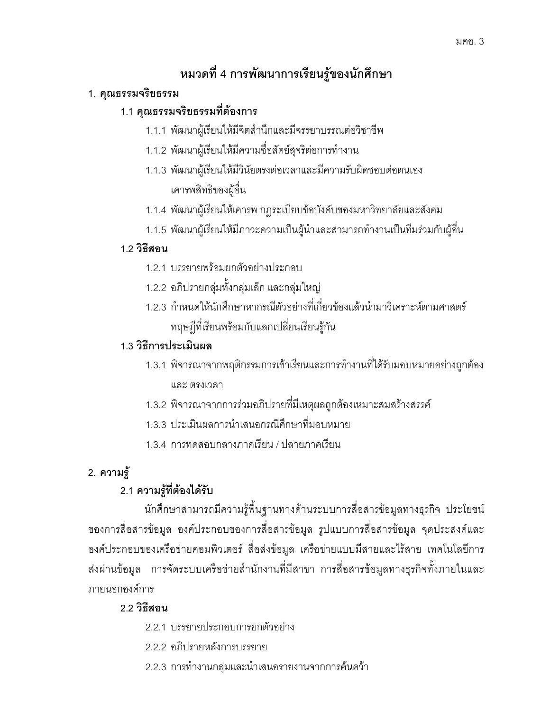# หมวดที่ 4 การพัฒนาการเรียนรู้ของนักศึกษา

#### 1. คุณธรรมจริยธรรม

### 1.1 คุณธรรมจริยธรรมที่ต้องการ

- 1.1.1 พัฒนาผู้เรียนให้มีจิตสำนึกและมีจรรยาบรรณต่อวิชาชีพ
- 1.1.2 พัฒนาผู้เรียนให้มีความชื่อสัตย์สุจริต่อการทำงาน
- 1.1.3 พัฒนาผู้เรียนให้มีวินัยตรงต่อเวลาและมีความรับผิดชอบต่อตนเอง เคารพสิทธิของผู้อื่น
- 1.1.4 พัฒนาผู้เรียนให้เคารพ กฎระเบียบข้อบังคับของมหาวิทยาลัยและสังคม
- 1.1.5 พัฒนาผู้เรียนให้มีภาวะความเป็นผู้นำและสามารถทำงานเป็นทีมร่วมกับผู้อื่น

### 1.2 วิธีสอน

- 1.2.1 บรรยายพร้อมยกตัวอย่างประกอบ
- 1.2.2 อภิปรายกลุ่มทั้งกลุ่มเล็ก และกลุ่มใหญ่
- 1.2.3 กำหนดให้นักศึกษาหากรณีตัวอย่างที่เกี่ยวข้องแล้วนำมาวิเคราะห์ตามศาสตร์ ทฤษฎีที่เรียนพร้อมกับแลกเปลี่ยนเรียนรู้กัน

### 1.3 วิธีการประเมินผล

- 1.3.1 พิจารณาจากพฤติกรรมการเข้าเรียนและการทำงานที่ได้รับมอบหมายอย่างถูกต้อง และ ตรงเวลา
- 1.3.2 พิจารณาจากการร่วมอภิปรายที่มีเหตุผลถูกต้องเหมาะสมสร้างสรรค์
- 1.3.3 ประเมินผลการนำเสนคกรณีศึกษาที่มคบหมาย
- 134 การทดสุดบกลางภาคเรียน / ปลายภาคเรียน

# 2. ความรู้

# 2.1 ความรู้ที่ต้องได้รับ

้นักศึกษาสามารถมีความรู้พื้นฐานทางด้านระบบการสื่อสารข้อมูลทางธุรกิจ ประโยชน์ ของการสื่อสารข้อมูล องค์ประกอบของการสื่อสารข้อมูล รูปแบบการสื่อสารข้อมูล จุดประสงค์และ ้องค์ประกอบของเครือข่ายคอมพิวเตอร์ สื่อส่งข้อมูล เครือข่ายแบบมีสายและไร้สาย เทคโนโลยีการ ส่งผ่านข้อมูล การจัดระบบเครือข่ายสำนักงานที่มีสาขา การสื่อสารข้อมูลทางธุรกิจทั้งภายในและ ภายนคกคงค์การ

### 22 วิกีสคน

- 221 บรรยายประกอบการยกตัวอย่าง
- 2.2.2 อภิปรายหลังการบรรยาย
- 2.2.3 การทำงานกลุ่มและนำเสนอรายงานจากการค้นคว้า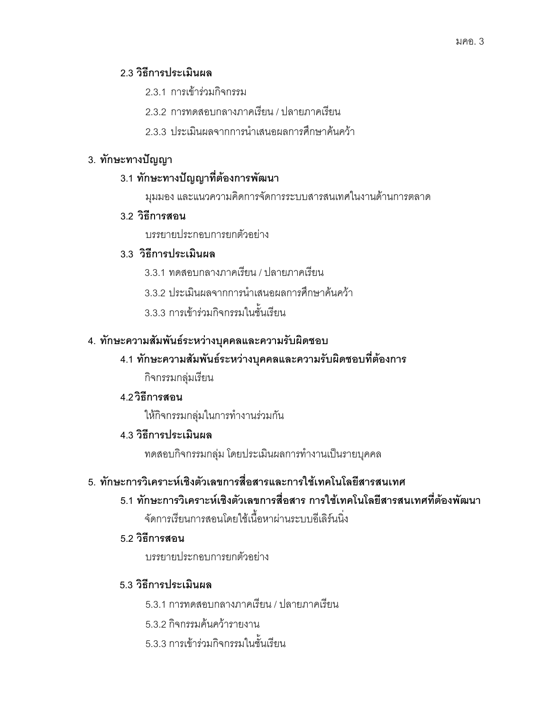#### 2.3 วิธีการประเมินผล

- 2.3.1 การเข้าร่วมก<mark>ิ</mark>จกรรม
- 2.3.2 การทดสอบกลางภาคเรียน / ปลายภาคเรียน
- 2.3.3 ประเมินผลจากการนำเสนอผลการศึกษาค้นคว้า

#### 3. ทักษะทางปัญญา

#### 3.1 ทักษะทางปัญญาที่ต้องการพัฒนา

มุมมอง และแนวความคิดการจัดการระบบสารสนเทศในงานด้านการตลาด

#### 3.2 วิธีการสอน

บรรยายประกอบการยกตัวอย่าง

#### 3.3 วิธีการประเมินผล

- 3.3.1 ทดสอบกลางภาคเรียน / ปลายภาคเรียน
- 3.3.2 ประเมินผลจากการนำเสนอผลการศึกษาค้นคว้า
- 3.3.3 การเข้าร่วมกิจกรรมในชั้นเรียน

#### 4. ทักษะความสัมพันธ์ระหว่างบุคคลและความรับผิดชอบ

#### 4.1 ทักษะความสัมพันธ์ระหว่างบุคคลและความรับผิดชอบที่ต้องการ

กิจกรรมกลุ่มเรียน

#### 4.2 วิธีการสอน

ให้กิจกรรมกลุ่มในการทำงานร่วมกัน

#### 4.3 วิธีการประเมินผล

ทดสอบกิจกรรมกลุ่ม โดยประเมินผลการทำงานเป็นรายบุคคล

#### 5. ทักษะการวิเคราะห์เชิงตัวเลขการสื่อสารและการใช้เทคโนโลยีสารสนเทศ

5.1 ทักษะการวิเคราะห์เชิงตัวเลขการสื่อสาร การใช้เทคโนโลยีสารสนเทศที่ต้องพัฒนา  $\ddot{\mathsf{q}}$ ี จัดการเรียนการสอนโดยใช้เนื้อหาผ่านระบบอีเลิร์นนิ่ง

#### 5.2 วิธีการสอน

บรรยายประกอบการยกตัวอย่าง

#### 5.3 วิธีการประเมินผล

- 5.3.1 การทดสอบกลางภาคเรียน / ปลายภาคเรียน
- 5.3.2 กิจกรรมค้นคว้ารายงาน
- 5.3.3 การเข้าร่วมกิจกรรมในชั้นเรียน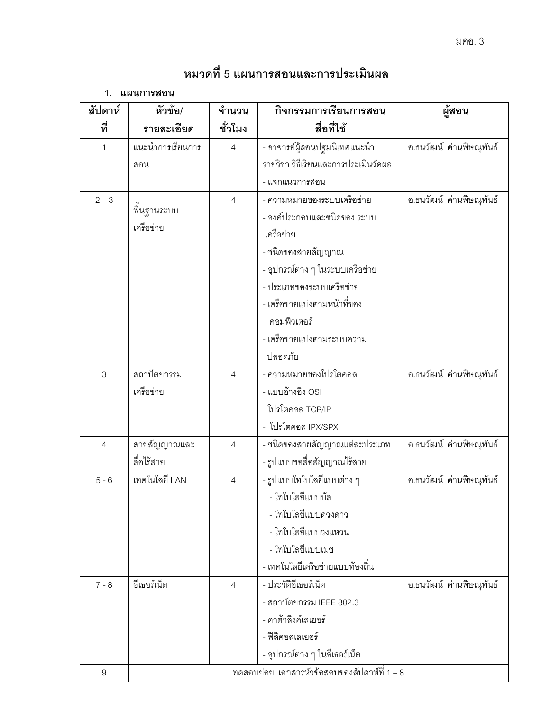# หมวดที่ 5 แผนการสอนและการประเมินผล

1. แผนการสอน

| สัปดาห์        | หัวข้อ/          | จำนวน          | กิจกรรมการเรียนการสอน                        | นี้สอน                   |
|----------------|------------------|----------------|----------------------------------------------|--------------------------|
| ที่            | รายละเอียด       | ชั่วโมง        | สื่อที่ใช้                                   |                          |
| 1              | แนะนำการเรียนการ | $\overline{4}$ | - อาจารย์ผู้สอนปฐมนิเทศแนะนำ                 | อ.ธนวัฒน์ ด่านพิษณุพันธ์ |
|                | สอน              |                | รายวิชา วิธีเรียนและการประเมินวัดผล          |                          |
|                |                  |                | - แจกแนวการสอน                               |                          |
| $2 - 3$        |                  | $\overline{4}$ | - ความหมายของระบบเครือข่าย                   | อ.ธนวัฒน์ ด่านพิษณุพันธ์ |
|                | พื้นฐานระบบ      |                | - องค์ประกอบและชนิดของ ระบบ                  |                          |
|                | เครือข่าย        |                | เครือข่าย                                    |                          |
|                |                  |                | - ชนิดของสายสัญญาณ                           |                          |
|                |                  |                | - อุปกรณ์ต่าง ๆ ในระบบเครือข่าย              |                          |
|                |                  |                | - ประเภทของระบบเครือข่าย                     |                          |
|                |                  |                | - เครือข่ายแบ่งตามหน้าที่ของ                 |                          |
|                |                  |                | คอมพิวเตอร์                                  |                          |
|                |                  |                | - เครือข่ายแบ่งตามระบบความ                   |                          |
|                |                  |                | ปลอดภัย                                      |                          |
| 3              | สถาปัตยกรรม      | $\overline{4}$ | - ความหมายของโปรโตคอล                        | อ.ธนวัฒน์ ด่านพิษณุพันธ์ |
|                | เครือข่าย        |                | - แบบอ้างอิง OSI                             |                          |
|                |                  |                | - โปรโตคอล TCP/IP                            |                          |
|                |                  |                | - โปรโตคอล IPX/SPX                           |                          |
| $\overline{4}$ | สายสัญญาณและ     | $\overline{4}$ | - ชนิดของสายสัญญาณแต่ละประเภท                | อ.ธนวัฒน์ ด่านพิษณุพันธ์ |
|                | สื่อไร้สาย       |                | - รูปแบบขอสื่อสัญญาณไร้สาย                   |                          |
| $5 - 6$        | เทคโนโลยี LAN    | $\overline{4}$ | - รูปแบบโทโบโลยีแบบต่าง ๆ                    | อ.ธนวัฒน์ ด่านพิษณุพันธ์ |
|                |                  |                | - โทโบโลยีแบบบัส                             |                          |
|                |                  |                | - โทโบโลยีแบบดวงดาว                          |                          |
|                |                  |                | - โทโบโลยีแบบวงแหวน                          |                          |
|                |                  |                | - โทโบโลยีแบบเมช                             |                          |
|                |                  |                | - เทคโนโลยีเครือข่ายแบบท้องถิ่น              |                          |
| $7 - 8$        | อีเธอร์เน็ต      | $\overline{4}$ | - ประวัติอีเธอร์เน็ต                         | อ.ธนวัฒน์ ด่านพิษณุพันธ์ |
|                |                  |                | - สถาบัตยกรรม IEEE 802.3                     |                          |
|                |                  |                | - ดาต้าลิงค์เลเยคร์                          |                          |
|                |                  |                | - ฟิสิคอลเลเยอร์                             |                          |
|                |                  |                | - อุปกรณ์ต่าง ๆ ในอีเธอร์เน็ต                |                          |
| 9              |                  |                | ทดสอบย่อย เอกสารหัวข้อสอบของสัปดาห์ที่ 1 – 8 |                          |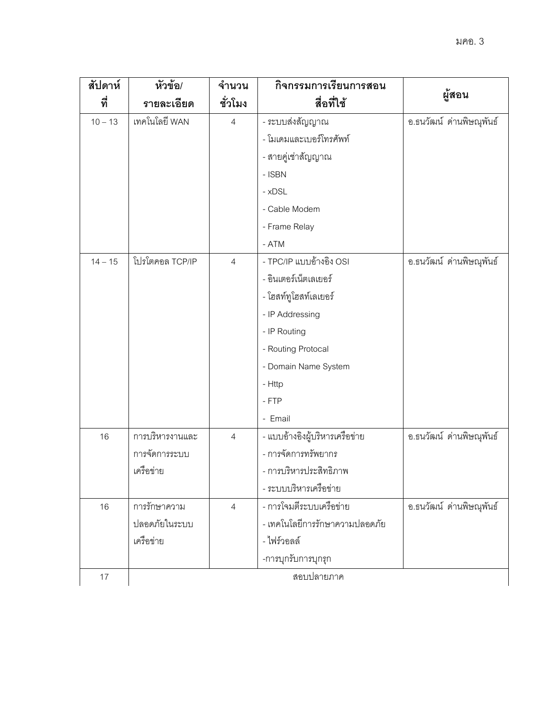| สัปดาห์<br>ที่ | หัวข้อ/<br>รายละเอียด | จำนวน<br>ชั่วโมง | กิจกรรมการเรียนการสอน<br>สื่อที่ใช้ | ผู้สอน                   |
|----------------|-----------------------|------------------|-------------------------------------|--------------------------|
| $10 - 13$      | เทคโนโลยี WAN         | $\overline{4}$   | - ระบบส่งสัญญาณ                     | อ.ธนวัฒน์ ด่านพิษณุพันธ์ |
|                |                       |                  | - โมเดมและเบอร์โทรศัพท์             |                          |
|                |                       |                  | - สายคู่เช่าสัญญาณ                  |                          |
|                |                       |                  | - ISBN                              |                          |
|                |                       |                  | - xDSL                              |                          |
|                |                       |                  | - Cable Modem                       |                          |
|                |                       |                  | - Frame Relay                       |                          |
|                |                       |                  | $- ATM$                             |                          |
| $14 - 15$      | โปรโตคอล TCP/IP       | $\overline{4}$   | - TPC/IP แบบอ้างอิง OSI             | อ.ธนวัฒน์ ด่านพิษณุพันธ์ |
|                |                       |                  | - อินเตอร์เน็ตเลเยอร์               |                          |
|                |                       |                  | - โฮสท์ทูโฮสท์เลเยอร์               |                          |
|                |                       |                  | - IP Addressing                     |                          |
|                |                       |                  | - IP Routing                        |                          |
|                |                       |                  | - Routing Protocal                  |                          |
|                |                       |                  | - Domain Name System                |                          |
|                |                       |                  | - Http                              |                          |
|                |                       |                  | $-$ FTP                             |                          |
|                |                       |                  | - Email                             |                          |
| 16             | การบริหารงานและ       | $\overline{4}$   | - แบบอ้างอิงผู้บริหารเครือข่าย      | อ.ธนวัฒน์ ด่านพิษณุพันธ์ |
|                | การจัดการระบบ         |                  | - การจัดการทรัพยากร                 |                          |
|                | เครือข่าย             |                  | - การบริหารประสิทธิภาพ              |                          |
|                |                       |                  | - ระบบบริหารเครือข่าย               |                          |
| 16             | การรักษาความ          | $\overline{4}$   | - การโจมตีระบบเครือข่าย             | อ.ธนวัฒน์ ด่านพิษณุพันธ์ |
|                | ปลอดภัยในระบบ         |                  | - เทคโนโลยีการรักษาความปลอดภัย      |                          |
|                | เครือข่าย             |                  | - ไฟร์วอลล์                         |                          |
|                |                       |                  | -การบุกรับการบุกรุก                 |                          |
| 17             |                       |                  | สอบปลายภาค                          |                          |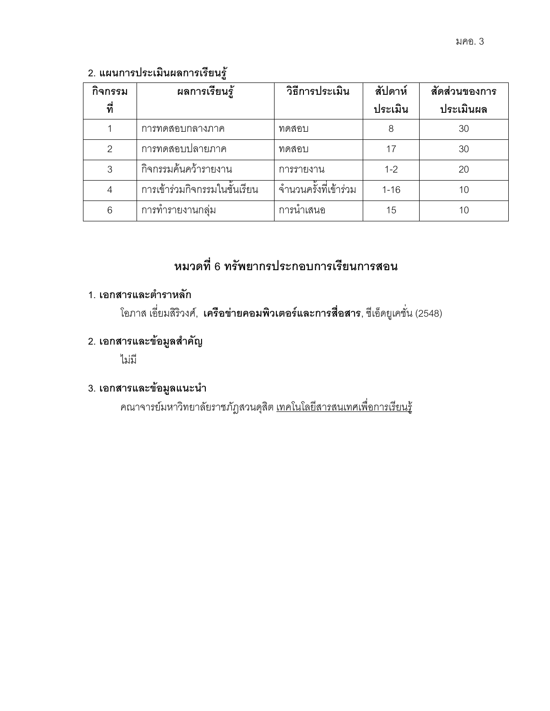### 2. แผนการประเมินผลการเรียนรู้

| กิจกรรม | ผลการเรียนรู้                 | วิธีการประเมิน        | สัปดาห์  | สัดส่วนของการ |
|---------|-------------------------------|-----------------------|----------|---------------|
| ที่     |                               |                       | ประเมิน  | ประเมินผล     |
|         | การทดสอบกลางภาค               | ทดสอบ                 | 8        | 30            |
| 2       | การทดสอบปลายภาค               | ทดสอบ                 | 17       | 30            |
| 3       | กิจกรรมค้นคว้ารายงาน          | การรายงาน             | $1 - 2$  | 20            |
| 4       | การเข้าร่วมกิจกรรมในชั้นเรียน | จำนวนครั้งที่เข้าร่วม | $1 - 16$ | 10            |
| 6       | การทำรายงานกลุ่ม              | การนำเสนอ             | 15       | 10            |

# หมวดที่ 6 ทรัพยากรประกอบการเรียนการสอน

# 1. เอกสารและตำราหลัก

โอภาส เอี่ยมสิริวงศ์, **เครือข่ายคอมพิวเตอร์และการสื่อสาร**, ซีเอ็ดยูเคชั่น (2548)

## 2. เอกสารและข้อมูลสำคัญ

ไม่มี

## 3. เอกสารและข้อมูลแนะนำ

คณาจารย์มหาวิทยาลัยราชภัฏสวนดุสิต <u>เทคโนโลยีสารสนเทศเพื่อการเรียนรู้</u>